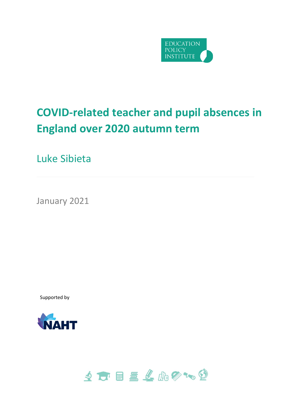

# **COVID-related teacher and pupil absences in England over 2020 autumn term**

Luke Sibieta

January 2021

Supported by



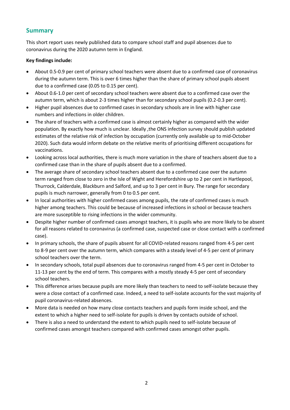# **Summary**

This short report uses newly published data to compare school staff and pupil absences due to coronavirus during the 2020 autumn term in England.

#### **Key findings include:**

- About 0.5-0.9 per cent of primary school teachers were absent due to a confirmed case of coronavirus during the autumn term. This is over 6 times higher than the share of primary school pupils absent due to a confirmed case (0.05 to 0.15 per cent).
- About 0.6-1.0 per cent of secondary school teachers were absent due to a confirmed case over the autumn term, which is about 2-3 times higher than for secondary school pupils (0.2-0.3 per cent).
- Higher pupil absences due to confirmed cases in secondary schools are in line with higher case numbers and infections in older children.
- The share of teachers with a confirmed case is almost certainly higher as compared with the wider population. By exactly how much is unclear. Ideally ,the ONS infection survey should publish updated estimates of the relative risk of infection by occupation (currently only available up to mid-October 2020). Such data would inform debate on the relative merits of prioritising different occupations for vaccinations.
- Looking across local authorities, there is much more variation in the share of teachers absent due to a confirmed case than in the share of pupils absent due to a confirmed.
- The average share of secondary school teachers absent due to a confirmed case over the autumn term ranged from close to zero in the Isle of Wight and Herefordshire up to 2 per cent in Hartlepool, Thurrock, Calderdale, Blackburn and Salford, and up to 3 per cent in Bury. The range for secondary pupils is much narrower, generally from 0 to 0.5 per cent.
- In local authorities with higher confirmed cases among pupils, the rate of confirmed cases is much higher among teachers. This could be because of increased infections in school or because teachers are more susceptible to rising infections in the wider community.
- Despite higher number of confirmed cases amongst teachers, it is pupils who are more likely to be absent for all reasons related to coronavirus (a confirmed case, suspected case or close contact with a confirmed case).
- In primary schools, the share of pupils absent for all COVID-related reasons ranged from 4-5 per cent to 8-9 per cent over the autumn term, which compares with a steady level of 4-5 per cent of primary school teachers over the term.
- In secondary schools, total pupil absences due to coronavirus ranged from 4-5 per cent in October to 11-13 per cent by the end of term. This compares with a mostly steady 4-5 per cent of secondary school teachers.
- This difference arises because pupils are more likely than teachers to need to self-isolate because they were a close contact of a confirmed case. Indeed, a need to self-isolate accounts for the vast majority of pupil coronavirus-related absences.
- More data is needed on how many close contacts teachers and pupils form inside school, and the extent to which a higher need to self-isolate for pupils is driven by contacts outside of school.
- There is also a need to understand the extent to which pupils need to self-isolate because of confirmed cases amongst teachers compared with confirmed cases amongst other pupils.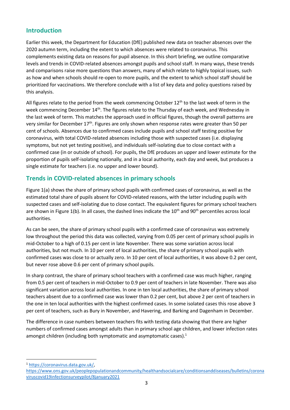# **Introduction**

Earlier this week, the Department for Education (DfE) published new data on teacher absences over the 2020 autumn term, including the extent to which absences were related to coronavirus. This complements existing data on reasons for pupil absence. In this short briefing, we outline comparative levels and trends in COVID-related absences amongst pupils and school staff. In many ways, these trends and comparisons raise more questions than answers, many of which relate to highly topical issues, such as how and when schools should re-open to more pupils, and the extent to which school staff should be prioritized for vaccinations. We therefore conclude with a list of key data and policy questions raised by this analysis.

All figures relate to the period from the week commencing October  $12<sup>th</sup>$  to the last week of term in the week commencing December 14th. The figures relate to the Thursday of each week, and Wednesday in the last week of term. This matches the approach used in official figures, though the overall patterns are very similar for December 17<sup>th</sup>. Figures are only shown when response rates were greater than 50 per cent of schools. Absences due to confirmed cases include pupils and school staff testing positive for coronavirus, with total COVID-related absences including those with suspected cases (i.e. displaying symptoms, but not yet testing positive), and individuals self-isolating due to close contact with a confirmed case (in or outside of school). For pupils, the DfE produces an upper and lower estimate for the proportion of pupils self-isolating nationally, and in a local authority, each day and week, but produces a single estimate for teachers (i.e. no upper and lower bound).

# **Trends in COVID-related absences in primary schools**

Figure 1(a) shows the share of primary school pupils with confirmed cases of coronavirus, as well as the estimated total share of pupils absent for COVID-related reasons, with the latter including pupils with suspected cases and self-isolating due to close contact. The equivalent figures for primary school teachers are shown in Figure 1(b). In all cases, the dashed lines indicate the 10<sup>th</sup> and 90<sup>th</sup> percentiles across local authorities.

As can be seen, the share of primary school pupils with a confirmed case of coronavirus was extremely low throughout the period this data was collected, varying from 0.05 per cent of primary school pupils in mid-October to a high of 0.15 per cent in late November. There was some variation across local authorities, but not much. In 10 per cent of local authorities, the share of primary school pupils with confirmed cases was close to or actually zero. In 10 per cent of local authorities, it was above 0.2 per cent, but never rose above 0.6 per cent of primary school pupils.

In sharp contrast, the share of primary school teachers with a confirmed case was much higher, ranging from 0.5 per cent of teachers in mid-October to 0.9 per cent of teachers in late November. There was also significant variation across local authorities. In one in ten local authorities, the share of primary school teachers absent due to a confirmed case was lower than 0.2 per cent, but above 2 per cent of teachers in the one in ten local authorities with the highest confirmed cases. In some isolated cases this rose above 3 per cent of teachers, such as Bury in November, and Havering, and Barking and Dagenham in December.

The difference in case numbers between teachers fits with testing data showing that there are higher numbers of confirmed cases amongst adults than in primary school age children, and lower infection rates amongst children (including both symptomatic and asymptomatic cases). $<sup>1</sup>$ </sup>

<sup>1</sup> [https://coronavirus.data.gov.uk/,](https://coronavirus.data.gov.uk/)

[https://www.ons.gov.uk/peoplepopulationandcommunity/healthandsocialcare/conditionsanddiseases/bulletins/corona](https://www.ons.gov.uk/peoplepopulationandcommunity/healthandsocialcare/conditionsanddiseases/bulletins/coronaviruscovid19infectionsurveypilot/8january2021) [viruscovid19infectionsurveypilot/8january2021](https://www.ons.gov.uk/peoplepopulationandcommunity/healthandsocialcare/conditionsanddiseases/bulletins/coronaviruscovid19infectionsurveypilot/8january2021)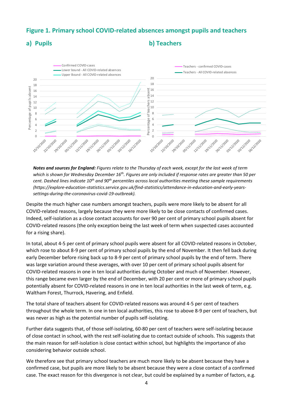# **Figure 1. Primary school COVID-related absences amongst pupils and teachers**

### **a) Pupils b) Teachers**



*Notes and sources for England: Figures relate to the Thursday of each week, except for the last week of term which is shown for Wednesday December 16th. Figures are only included if response rates are greater than 50 per cent. Dashed lines indicate 10th and 90th percentiles across local authorities meeting these sample requirements (https://explore-education-statistics.service.gov.uk/find-statistics/attendance-in-education-and-early-yearssettings-during-the-coronavirus-covid-19-outbreak).* 

Despite the much higher case numbers amongst teachers, pupils were more likely to be absent for all COVID-related reasons, largely because they were more likely to be close contacts of confirmed cases. Indeed, self-isolation as a close contact accounts for over 90 per cent of primary school pupils absent for COVID-related reasons (the only exception being the last week of term when suspected cases accounted for a rising share).

In total, about 4-5 per cent of primary school pupils were absent for all COVID-related reasons in October, which rose to about 8-9 per cent of primary school pupils by the end of November. It then fell back during early December before rising back up to 8-9 per cent of primary school pupils by the end of term. There was large variation around these averages, with over 10 per cent of primary school pupils absent for COVID-related reasons in one in ten local authorities during October and much of November. However, this range became even larger by the end of December, with 20 per cent or more of primary school pupils potentially absent for COVID-related reasons in one in ten local authorities in the last week of term, e.g. Waltham Forest, Thurrock, Havering, and Enfield.

The total share of teachers absent for COVID-related reasons was around 4-5 per cent of teachers throughout the whole term. In one in ten local authorities, this rose to above 8-9 per cent of teachers, but was never as high as the potential number of pupils self-isolating.

Further data suggests that, of those self-isolating, 60-80 per cent of teachers were self-isolating because of close contact in school, with the rest self-isolating due to contact outside of schools. This suggests that the main reason for self-isolation is close contact within school, but highlights the importance of also considering behavior outside school.

We therefore see that primary school teachers are much more likely to be absent because they have a confirmed case, but pupils are more likely to be absent because they were a close contact of a confirmed case. The exact reason for this divergence is not clear, but could be explained by a number of factors, e.g.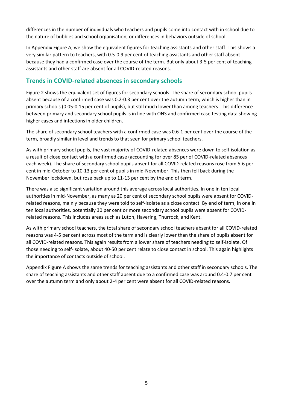differences in the number of individuals who teachers and pupils come into contact with in school due to the nature of bubbles and school organisation, or differences in behaviors outside of school.

In Appendix Figure A, we show the equivalent figures for teaching assistants and other staff. This shows a very similar pattern to teachers, with 0.5-0.9 per cent of teaching assistants and other staff absent because they had a confirmed case over the course of the term. But only about 3-5 per cent of teaching assistants and other staff are absent for all COVID-related reasons.

# **Trends in COVID-related absences in secondary schools**

Figure 2 shows the equivalent set of figures for secondary schools. The share of secondary school pupils absent because of a confirmed case was 0.2-0.3 per cent over the autumn term, which is higher than in primary schools (0.05-0.15 per cent of pupils), but still much lower than among teachers. This difference between primary and secondary school pupils is in line with ONS and confirmed case testing data showing higher cases and infections in older children.

The share of secondary school teachers with a confirmed case was 0.6-1 per cent over the course of the term, broadly similar in level and trends to that seen for primary school teachers.

As with primary school pupils, the vast majority of COVID-related absences were down to self-isolation as a result of close contact with a confirmed case (accounting for over 85 per of COVID-related absences each week). The share of secondary school pupils absent for all COVID-related reasons rose from 5-6 per cent in mid-October to 10-13 per cent of pupils in mid-November. This then fell back during the November lockdown, but rose back up to 11-13 per cent by the end of term.

There was also significant variation around this average across local authorities. In one in ten local authorities in mid-November, as many as 20 per cent of secondary school pupils were absent for COVIDrelated reasons, mainly because they were told to self-isolate as a close contact. By end of term, in one in ten local authorities, potentially 30 per cent or more secondary school pupils were absent for COVIDrelated reasons. This includes areas such as Luton, Havering, Thurrock, and Kent.

As with primary school teachers, the total share of secondary school teachers absent for all COVID-related reasons was 4-5 per cent across most of the term and is clearly lower than the share of pupils absent for all COVID-related reasons. This again results from a lower share of teachers needing to self-isolate. Of those needing to self-isolate, about 40-50 per cent relate to close contact in school. This again highlights the importance of contacts outside of school.

Appendix Figure A shows the same trends for teaching assistants and other staff in secondary schools. The share of teaching assistants and other staff absent due to a confirmed case was around 0.4-0.7 per cent over the autumn term and only about 2-4 per cent were absent for all COVID-related reasons.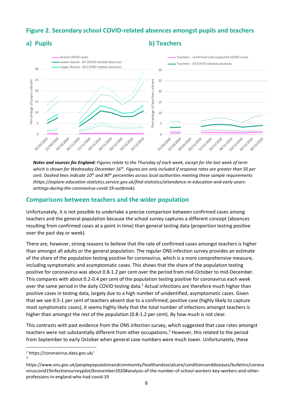# **Figure 2. Secondary school COVID-related absences amongst pupils and teachers**

### **a) Pupils b) Teachers**



*Notes and sources for England: Figures relate to the Thursday of each week, except for the last week of term which is shown for Wednesday December 16th. Figures are only included if response rates are greater than 50 per cent. Dashed lines indicate 10th and 90th percentiles across local authorities meeting these sample requirements (https://explore-education-statistics.service.gov.uk/find-statistics/attendance-in-education-and-early-yearssettings-during-the-coronavirus-covid-19-outbreak).* 

### **Comparisons between teachers and the wider population**

Unfortunately, it is not possible to undertake a precise comparison between confirmed cases among teachers and the general population because the school survey captures a different concept (absences resulting from confirmed cases at a point in time) than general testing data (proportion testing positive over the past day or week).

There are, however, strong reasons to believe that the rate of confirmed cases amongst teachers is higher than amongst all adults or the general population. The regular ONS infection survey provides an estimate of the share of the population testing positive for coronavirus, which is a more comprehensive measure, including symptomatic and asymptomatic cases. This shows that the share of the population testing positive for coronavirus was about 0.8-1.2 per cent over the period from mid-October to mid-December. This compares with about 0.2-0.4 per cent of the population testing positive for coronavirus each week over the same period in the daily COVID testing data.<sup>2</sup> Actual infections are therefore much higher than positive cases in testing data, largely due to a high number of unidentified, asymptomatic cases. Given that we see 0.5-1 per cent of teachers absent due to a confirmed, positive case (highly likely to capture most symptomatic cases), it seems highly likely that the total number of infections amongst teachers is higher than amongst the rest of the population (0.8-1.2 per cent). By how much is not clear.

This contrasts with past evidence from the ONS infection survey, which suggested that case rates amongst teachers were not substantially different from other occupations.<sup>3</sup> However, this related to the period from September to early October when general case numbers were much lower. Unfortunately, these

<sup>2</sup> https://coronavirus.data.gov.uk/

<sup>3</sup>

https://www.ons.gov.uk/peoplepopulationandcommunity/healthandsocialcare/conditionsanddiseases/bulletins/corona viruscovid19infectionsurveypilot/6november2020#analysis-of-the-number-of-school-workers-key-workers-and-otherprofessions-in-england-who-had-covid-19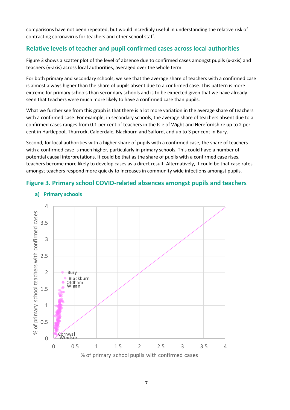comparisons have not been repeated, but would incredibly useful in understanding the relative risk of contracting coronavirus for teachers and other school staff.

# **Relative levels of teacher and pupil confirmed cases across local authorities**

Figure 3 shows a scatter plot of the level of absence due to confirmed cases amongst pupils (x-axis) and teachers (y-axis) across local authorities, averaged over the whole term.

For both primary and secondary schools, we see that the average share of teachers with a confirmed case is almost always higher than the share of pupils absent due to a confirmed case. This pattern is more extreme for primary schools than secondary schools and is to be expected given that we have already seen that teachers were much more likely to have a confirmed case than pupils.

What we further see from this graph is that there is a lot more variation in the average share of teachers with a confirmed case. For example, in secondary schools, the average share of teachers absent due to a confirmed cases ranges from 0.1 per cent of teachers in the Isle of Wight and Herefordshire up to 2 per cent in Hartlepool, Thurrock, Calderdale, Blackburn and Salford, and up to 3 per cent in Bury.

Second, for local authorities with a higher share of pupils with a confirmed case, the share of teachers with a confirmed case is much higher, particularly in primary schools. This could have a number of potential causal interpretations. It could be that as the share of pupils with a confirmed case rises, teachers become more likely to develop cases as a direct result. Alternatively, it could be that case rates amongst teachers respond more quickly to increases in community wide infections amongst pupils.

# **Figure 3. Primary school COVID-related absences amongst pupils and teachers**



#### **a) Primary schools**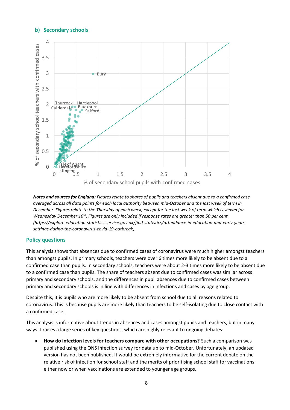### **b) Secondary schools**



*Notes and sources for England: Figures relate to shares of pupils and teachers absent due to a confirmed case averaged across all data points for each local authority between mid-October and the last week of term in December. Figures relate to the Thursday of each week, except for the last week of term which is shown for Wednesday December 16th. Figures are only included if response rates are greater than 50 per cent. (https://explore-education-statistics.service.gov.uk/find-statistics/attendance-in-education-and-early-yearssettings-during-the-coronavirus-covid-19-outbreak).* 

#### **Policy questions**

This analysis shows that absences due to confirmed cases of coronavirus were much higher amongst teachers than amongst pupils. In primary schools, teachers were over 6 times more likely to be absent due to a confirmed case than pupils. In secondary schools, teachers were about 2-3 times more likely to be absent due to a confirmed case than pupils. The share of teachers absent due to confirmed cases was similar across primary and secondary schools, and the differences in pupil absences due to confirmed cases between primary and secondary schools is in line with differences in infections and cases by age group.

Despite this, it is pupils who are more likely to be absent from school due to all reasons related to coronavirus. This is because pupils are more likely than teachers to be self-isolating due to close contact with a confirmed case.

This analysis is informative about trends in absences and cases amongst pupils and teachers, but in many ways it raises a large series of key questions, which are highly relevant to ongoing debates:

• **How do infection levels for teachers compare with other occupations?** Such a comparison was published using the ONS infection survey for data up to mid-October. Unfortunately, an updated version has not been published. It would be extremely informative for the current debate on the relative risk of infection for school staff and the merits of prioritising school staff for vaccinations, either now or when vaccinations are extended to younger age groups.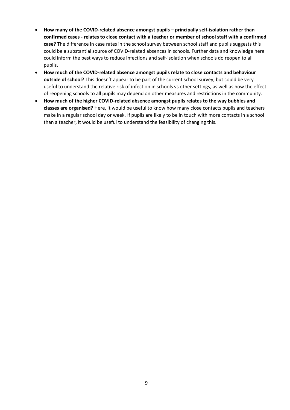- **How many of the COVID-related absence amongst pupils – principally self-isolation rather than confirmed cases - relates to close contact with a teacher or member of school staff with a confirmed case?** The difference in case rates in the school survey between school staff and pupils suggests this could be a substantial source of COVID-related absences in schools. Further data and knowledge here could inform the best ways to reduce infections and self-isolation when schools do reopen to all pupils.
- **How much of the COVID-related absence amongst pupils relate to close contacts and behaviour outside of school?** This doesn't appear to be part of the current school survey, but could be very useful to understand the relative risk of infection in schools vs other settings, as well as how the effect of reopening schools to all pupils may depend on other measures and restrictions in the community.
- **How much of the higher COVID-related absence amongst pupils relates to the way bubbles and classes are organised?** Here, it would be useful to know how many close contacts pupils and teachers make in a regular school day or week. If pupils are likely to be in touch with more contacts in a school than a teacher, it would be useful to understand the feasibility of changing this.